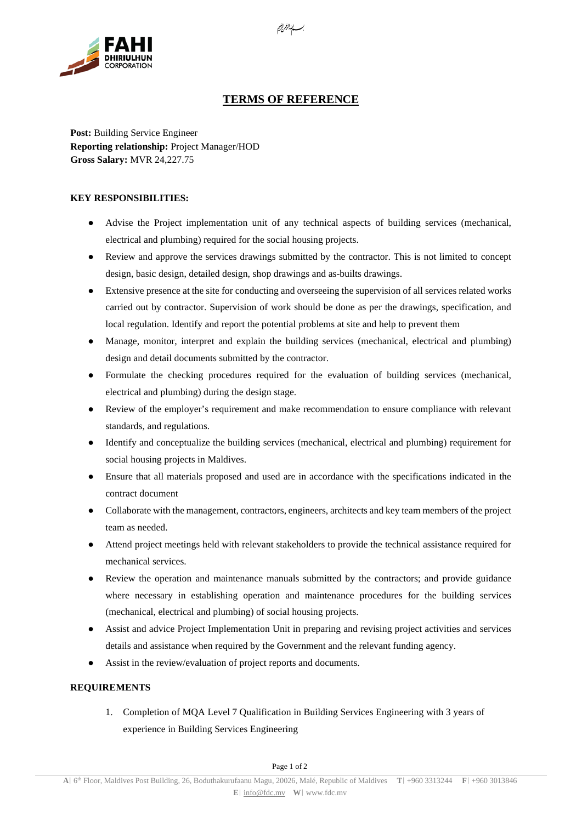

## **TERMS OF REFERENCE**

**Post:** Building Service Engineer **Reporting relationship:** Project Manager/HOD **Gross Salary:** MVR 24,227.75

## **KEY RESPONSIBILITIES:**

- Advise the Project implementation unit of any technical aspects of building services (mechanical, electrical and plumbing) required for the social housing projects.
- Review and approve the services drawings submitted by the contractor. This is not limited to concept design, basic design, detailed design, shop drawings and as-builts drawings.
- Extensive presence at the site for conducting and overseeing the supervision of all services related works carried out by contractor. Supervision of work should be done as per the drawings, specification, and local regulation. Identify and report the potential problems at site and help to prevent them
- Manage, monitor, interpret and explain the building services (mechanical, electrical and plumbing) design and detail documents submitted by the contractor.
- Formulate the checking procedures required for the evaluation of building services (mechanical, electrical and plumbing) during the design stage.
- Review of the employer's requirement and make recommendation to ensure compliance with relevant standards, and regulations.
- Identify and conceptualize the building services (mechanical, electrical and plumbing) requirement for social housing projects in Maldives.
- Ensure that all materials proposed and used are in accordance with the specifications indicated in the contract document
- Collaborate with the management, contractors, engineers, architects and key team members of the project team as needed.
- Attend project meetings held with relevant stakeholders to provide the technical assistance required for mechanical services.
- Review the operation and maintenance manuals submitted by the contractors; and provide guidance where necessary in establishing operation and maintenance procedures for the building services (mechanical, electrical and plumbing) of social housing projects.
- Assist and advice Project Implementation Unit in preparing and revising project activities and services details and assistance when required by the Government and the relevant funding agency.
- Assist in the review/evaluation of project reports and documents.

## **REQUIREMENTS**

1. Completion of MQA Level 7 Qualification in Building Services Engineering with 3 years of experience in Building Services Engineering

Page 1 of 2

بـــــاب*ت<sup>[</sup>ابراهيم*